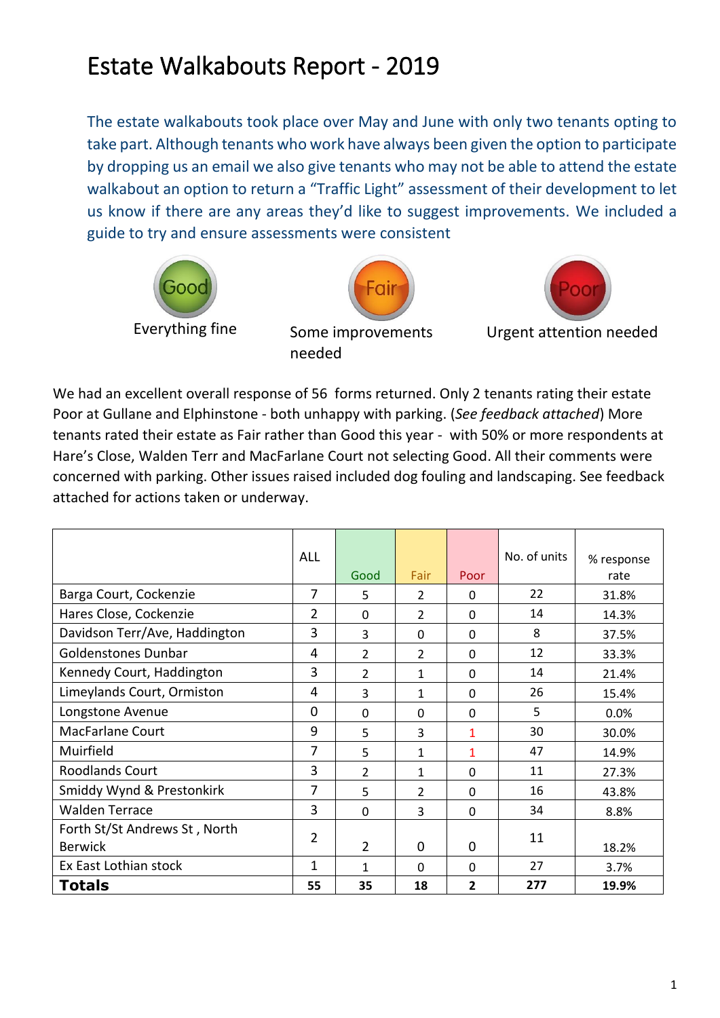## Estate Walkabouts Report - 2019

The estate walkabouts took place over May and June with only two tenants opting to take part. Although tenants who work have always been given the option to participate by dropping us an email we also give tenants who may not be able to attend the estate walkabout an option to return a "Traffic Light" assessment of their development to let us know if there are any areas they'd like to suggest improvements. We included a guide to try and ensure assessments were consistent







Urgent attention needed

We had an excellent overall response of 56 forms returned. Only 2 tenants rating their estate Poor at Gullane and Elphinstone - both unhappy with parking. (*See feedback attached*) More tenants rated their estate as Fair rather than Good this year - with 50% or more respondents at Hare's Close, Walden Terr and MacFarlane Court not selecting Good. All their comments were concerned with parking. Other issues raised included dog fouling and landscaping. See feedback attached for actions taken or underway.

needed

|                               | <b>ALL</b>     |                |                |                | No. of units | % response |
|-------------------------------|----------------|----------------|----------------|----------------|--------------|------------|
|                               |                | Good           | Fair           | Poor           |              | rate       |
| Barga Court, Cockenzie        | 7              | 5              | $\overline{2}$ | $\Omega$       | 22           | 31.8%      |
| Hares Close, Cockenzie        | 2              | 0              | $\overline{2}$ | 0              | 14           | 14.3%      |
| Davidson Terr/Ave, Haddington | 3              | 3              | 0              | 0              | 8            | 37.5%      |
| <b>Goldenstones Dunbar</b>    | 4              | $\overline{2}$ | $\overline{2}$ | 0              | 12           | 33.3%      |
| Kennedy Court, Haddington     | 3              | $\overline{2}$ | 1              | 0              | 14           | 21.4%      |
| Limeylands Court, Ormiston    | 4              | 3              | $\mathbf{1}$   | 0              | 26           | 15.4%      |
| Longstone Avenue              | $\mathbf 0$    | 0              | $\mathbf 0$    | 0              | 5            | 0.0%       |
| <b>MacFarlane Court</b>       | 9              | 5              | 3              | 1              | 30           | 30.0%      |
| Muirfield                     | 7              | 5              | $\mathbf{1}$   | 1              | 47           | 14.9%      |
| <b>Roodlands Court</b>        | 3              | $\overline{2}$ | $\mathbf{1}$   | 0              | 11           | 27.3%      |
| Smiddy Wynd & Prestonkirk     | $\overline{7}$ | 5              | $\overline{2}$ | 0              | 16           | 43.8%      |
| <b>Walden Terrace</b>         | 3              | $\mathbf 0$    | 3              | $\mathbf 0$    | 34           | 8.8%       |
| Forth St/St Andrews St, North | 2              |                |                |                | 11           |            |
| <b>Berwick</b>                |                | $\overline{2}$ | $\mathbf 0$    | $\overline{0}$ |              | 18.2%      |
| Ex East Lothian stock         | 1              | 1              | $\Omega$       | 0              | 27           | 3.7%       |
| <b>Totals</b>                 | 55             | 35             | 18             | 2              | 277          | 19.9%      |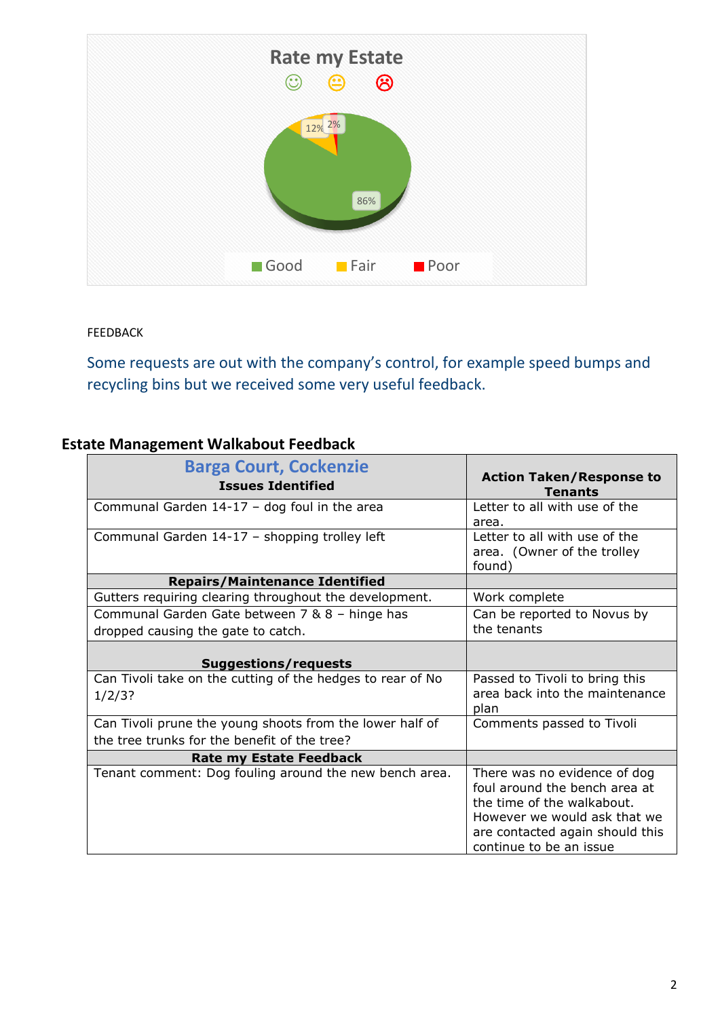

FEEDBACK

Some requests are out with the company's control, for example speed bumps and recycling bins but we received some very useful feedback.

## **Estate Management Walkabout Feedback**

| <b>Barga Court, Cockenzie</b><br><b>Issues Identified</b>  | <b>Action Taken/Response to</b><br><b>Tenants</b>                                                                                                                                         |
|------------------------------------------------------------|-------------------------------------------------------------------------------------------------------------------------------------------------------------------------------------------|
| Communal Garden $14-17$ - dog foul in the area             | Letter to all with use of the<br>area.                                                                                                                                                    |
| Communal Garden 14-17 - shopping trolley left              | Letter to all with use of the<br>area. (Owner of the trolley<br>found)                                                                                                                    |
| <b>Repairs/Maintenance Identified</b>                      |                                                                                                                                                                                           |
| Gutters requiring clearing throughout the development.     | Work complete                                                                                                                                                                             |
| Communal Garden Gate between 7 & 8 - hinge has             | Can be reported to Novus by                                                                                                                                                               |
| dropped causing the gate to catch.                         | the tenants                                                                                                                                                                               |
| <b>Suggestions/requests</b>                                |                                                                                                                                                                                           |
| Can Tivoli take on the cutting of the hedges to rear of No | Passed to Tivoli to bring this                                                                                                                                                            |
| 1/2/3?                                                     | area back into the maintenance<br>plan                                                                                                                                                    |
| Can Tivoli prune the young shoots from the lower half of   | Comments passed to Tivoli                                                                                                                                                                 |
| the tree trunks for the benefit of the tree?               |                                                                                                                                                                                           |
| <b>Rate my Estate Feedback</b>                             |                                                                                                                                                                                           |
| Tenant comment: Dog fouling around the new bench area.     | There was no evidence of dog<br>foul around the bench area at<br>the time of the walkabout.<br>However we would ask that we<br>are contacted again should this<br>continue to be an issue |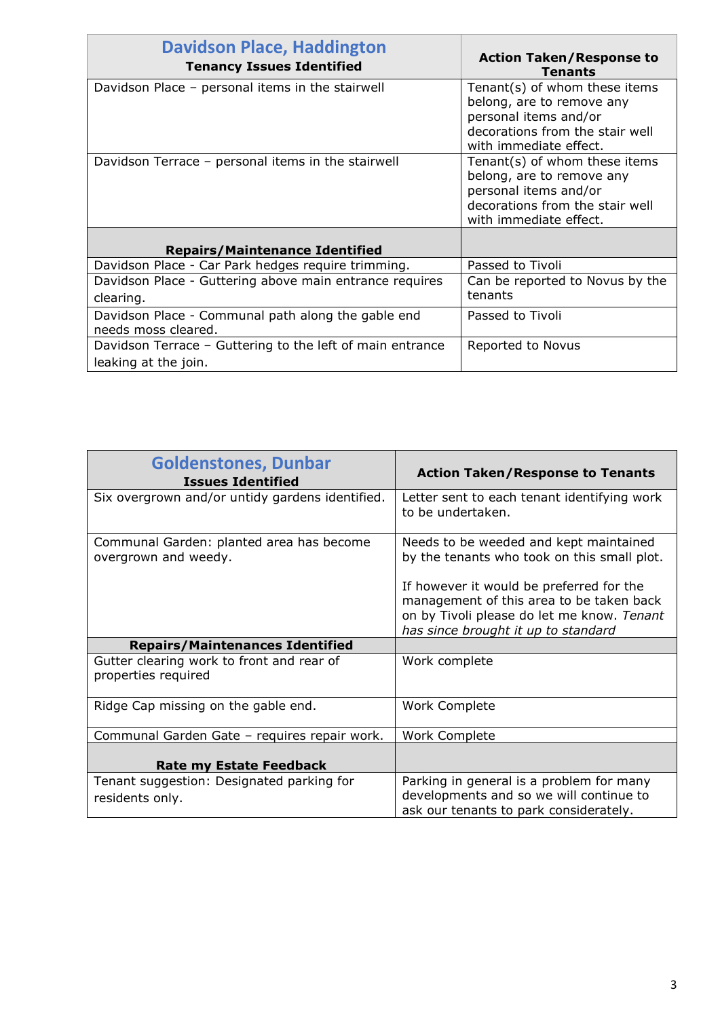| <b>Davidson Place, Haddington</b><br><b>Tenancy Issues Identified</b>             | <b>Action Taken/Response to</b><br><b>Tenants</b>                                                                                                |
|-----------------------------------------------------------------------------------|--------------------------------------------------------------------------------------------------------------------------------------------------|
| Davidson Place – personal items in the stairwell                                  | Tenant(s) of whom these items<br>belong, are to remove any<br>personal items and/or                                                              |
|                                                                                   | decorations from the stair well<br>with immediate effect.                                                                                        |
| Davidson Terrace - personal items in the stairwell                                | Tenant(s) of whom these items<br>belong, are to remove any<br>personal items and/or<br>decorations from the stair well<br>with immediate effect. |
| <b>Repairs/Maintenance Identified</b>                                             |                                                                                                                                                  |
| Davidson Place - Car Park hedges require trimming.                                | Passed to Tivoli                                                                                                                                 |
| Davidson Place - Guttering above main entrance requires<br>clearing.              | Can be reported to Novus by the<br>tenants                                                                                                       |
| Davidson Place - Communal path along the gable end<br>needs moss cleared.         | Passed to Tivoli                                                                                                                                 |
| Davidson Terrace - Guttering to the left of main entrance<br>leaking at the join. | Reported to Novus                                                                                                                                |

| <b>Goldenstones, Dunbar</b><br><b>Issues Identified</b>          | <b>Action Taken/Response to Tenants</b>                                                                                                                                   |
|------------------------------------------------------------------|---------------------------------------------------------------------------------------------------------------------------------------------------------------------------|
| Six overgrown and/or untidy gardens identified.                  | Letter sent to each tenant identifying work<br>to be undertaken.                                                                                                          |
| Communal Garden: planted area has become<br>overgrown and weedy. | Needs to be weeded and kept maintained<br>by the tenants who took on this small plot.                                                                                     |
|                                                                  | If however it would be preferred for the<br>management of this area to be taken back<br>on by Tivoli please do let me know. Tenant<br>has since brought it up to standard |
| <b>Repairs/Maintenances Identified</b>                           |                                                                                                                                                                           |
| Gutter clearing work to front and rear of<br>properties required | Work complete                                                                                                                                                             |
| Ridge Cap missing on the gable end.                              | <b>Work Complete</b>                                                                                                                                                      |
| Communal Garden Gate - requires repair work.                     | <b>Work Complete</b>                                                                                                                                                      |
| <b>Rate my Estate Feedback</b>                                   |                                                                                                                                                                           |
| Tenant suggestion: Designated parking for                        | Parking in general is a problem for many                                                                                                                                  |
| residents only.                                                  | developments and so we will continue to<br>ask our tenants to park considerately.                                                                                         |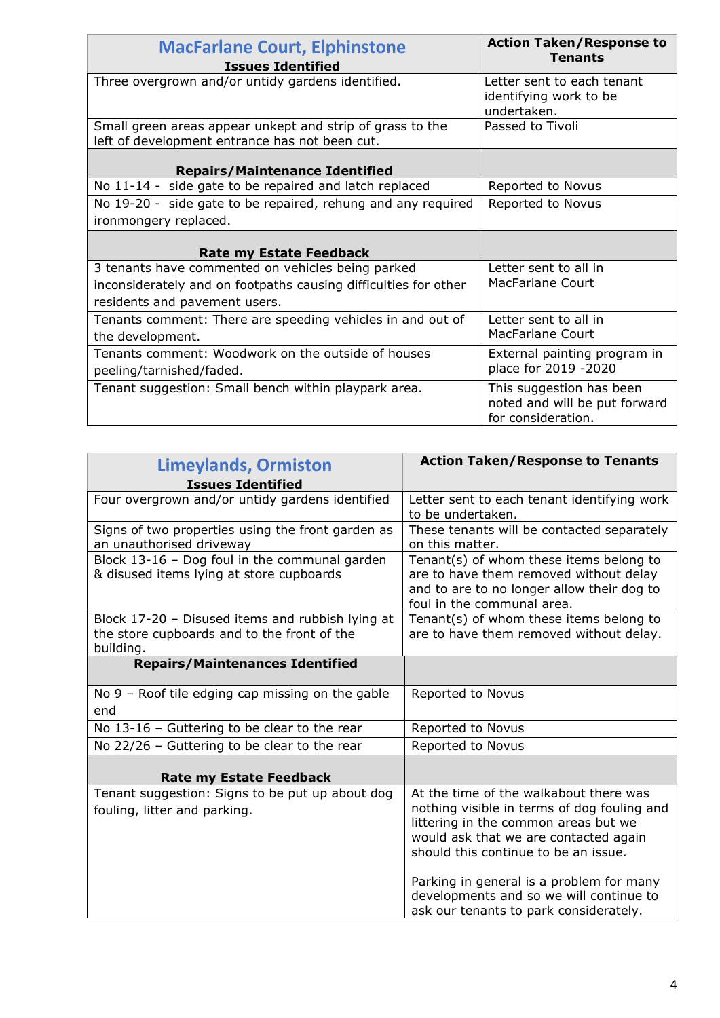| <b>MacFarlane Court, Elphinstone</b><br><b>Issues Identified</b>                                            | <b>Action Taken/Response to</b><br><b>Tenants</b>                               |
|-------------------------------------------------------------------------------------------------------------|---------------------------------------------------------------------------------|
| Three overgrown and/or untidy gardens identified.                                                           | Letter sent to each tenant<br>identifying work to be<br>undertaken.             |
| Small green areas appear unkept and strip of grass to the<br>left of development entrance has not been cut. | Passed to Tivoli                                                                |
| <b>Repairs/Maintenance Identified</b>                                                                       |                                                                                 |
| No 11-14 - side gate to be repaired and latch replaced                                                      | Reported to Novus                                                               |
| No 19-20 - side gate to be repaired, rehung and any required                                                | Reported to Novus                                                               |
| ironmongery replaced.                                                                                       |                                                                                 |
| <b>Rate my Estate Feedback</b>                                                                              |                                                                                 |
| 3 tenants have commented on vehicles being parked                                                           | Letter sent to all in                                                           |
| inconsiderately and on footpaths causing difficulties for other                                             | <b>MacFarlane Court</b>                                                         |
| residents and pavement users.                                                                               |                                                                                 |
| Tenants comment: There are speeding vehicles in and out of<br>the development.                              | Letter sent to all in<br>MacFarlane Court                                       |
| Tenants comment: Woodwork on the outside of houses<br>peeling/tarnished/faded.                              | External painting program in<br>place for 2019 -2020                            |
| Tenant suggestion: Small bench within playpark area.                                                        | This suggestion has been<br>noted and will be put forward<br>for consideration. |

| <b>Limeylands, Ormiston</b>                                                                                  | <b>Action Taken/Response to Tenants</b>                                                                                                                                                                                                                                                                                                         |
|--------------------------------------------------------------------------------------------------------------|-------------------------------------------------------------------------------------------------------------------------------------------------------------------------------------------------------------------------------------------------------------------------------------------------------------------------------------------------|
| <b>Issues Identified</b>                                                                                     |                                                                                                                                                                                                                                                                                                                                                 |
| Four overgrown and/or untidy gardens identified                                                              | Letter sent to each tenant identifying work<br>to be undertaken.                                                                                                                                                                                                                                                                                |
| Signs of two properties using the front garden as<br>an unauthorised driveway                                | These tenants will be contacted separately<br>on this matter.                                                                                                                                                                                                                                                                                   |
| Block 13-16 - Dog foul in the communal garden<br>& disused items lying at store cupboards                    | Tenant(s) of whom these items belong to<br>are to have them removed without delay<br>and to are to no longer allow their dog to<br>foul in the communal area.                                                                                                                                                                                   |
| Block 17-20 - Disused items and rubbish lying at<br>the store cupboards and to the front of the<br>building. | Tenant(s) of whom these items belong to<br>are to have them removed without delay.                                                                                                                                                                                                                                                              |
| <b>Repairs/Maintenances Identified</b>                                                                       |                                                                                                                                                                                                                                                                                                                                                 |
| No $9$ – Roof tile edging cap missing on the gable<br>end                                                    | Reported to Novus                                                                                                                                                                                                                                                                                                                               |
| No 13-16 - Guttering to be clear to the rear                                                                 | Reported to Novus                                                                                                                                                                                                                                                                                                                               |
| No 22/26 - Guttering to be clear to the rear                                                                 | Reported to Novus                                                                                                                                                                                                                                                                                                                               |
| <b>Rate my Estate Feedback</b>                                                                               |                                                                                                                                                                                                                                                                                                                                                 |
| Tenant suggestion: Signs to be put up about dog<br>fouling, litter and parking.                              | At the time of the walkabout there was<br>nothing visible in terms of dog fouling and<br>littering in the common areas but we<br>would ask that we are contacted again<br>should this continue to be an issue.<br>Parking in general is a problem for many<br>developments and so we will continue to<br>ask our tenants to park considerately. |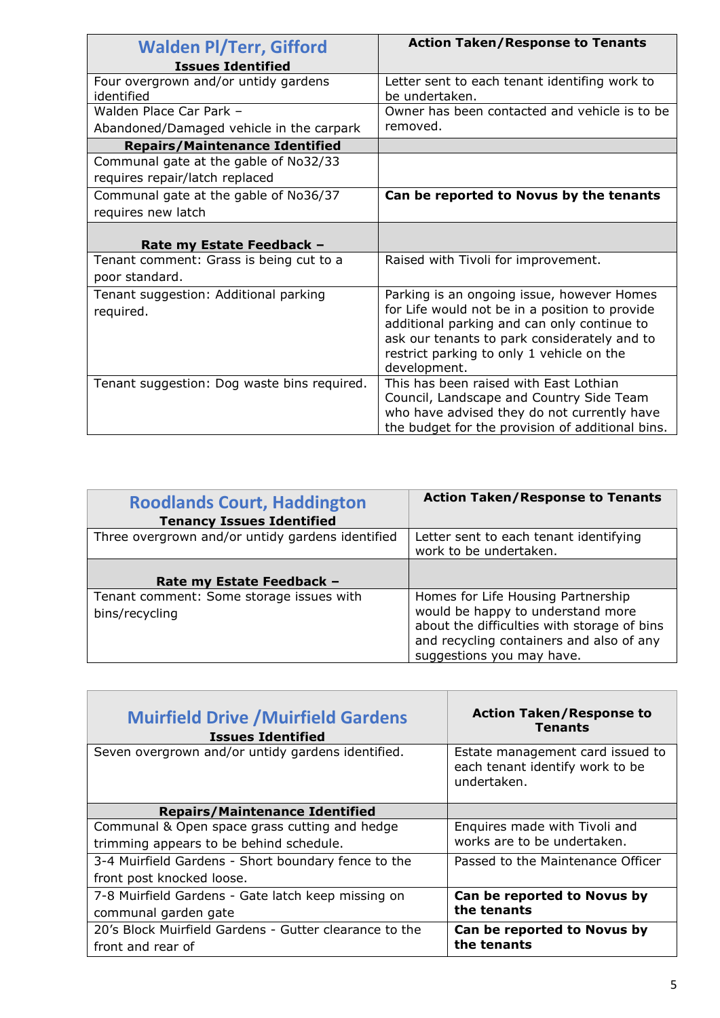| <b>Walden Pl/Terr, Gifford</b>                     | <b>Action Taken/Response to Tenants</b>                                                      |
|----------------------------------------------------|----------------------------------------------------------------------------------------------|
| <b>Issues Identified</b>                           |                                                                                              |
| Four overgrown and/or untidy gardens<br>identified | Letter sent to each tenant identifing work to<br>be undertaken.                              |
| Walden Place Car Park -                            | Owner has been contacted and vehicle is to be                                                |
| Abandoned/Damaged vehicle in the carpark           | removed.                                                                                     |
| <b>Repairs/Maintenance Identified</b>              |                                                                                              |
| Communal gate at the gable of No32/33              |                                                                                              |
| requires repair/latch replaced                     |                                                                                              |
| Communal gate at the gable of No36/37              | Can be reported to Novus by the tenants                                                      |
| requires new latch                                 |                                                                                              |
|                                                    |                                                                                              |
| Rate my Estate Feedback -                          |                                                                                              |
| Tenant comment: Grass is being cut to a            | Raised with Tivoli for improvement.                                                          |
| poor standard.                                     |                                                                                              |
| Tenant suggestion: Additional parking<br>required. | Parking is an ongoing issue, however Homes<br>for Life would not be in a position to provide |
|                                                    | additional parking and can only continue to                                                  |
|                                                    | ask our tenants to park considerately and to                                                 |
|                                                    | restrict parking to only 1 vehicle on the                                                    |
|                                                    | development.                                                                                 |
| Tenant suggestion: Dog waste bins required.        | This has been raised with East Lothian                                                       |
|                                                    | Council, Landscape and Country Side Team                                                     |
|                                                    | who have advised they do not currently have                                                  |
|                                                    | the budget for the provision of additional bins.                                             |

| <b>Roodlands Court, Haddington</b><br><b>Tenancy Issues Identified</b> | <b>Action Taken/Response to Tenants</b>                                                                                                                                                         |
|------------------------------------------------------------------------|-------------------------------------------------------------------------------------------------------------------------------------------------------------------------------------------------|
| Three overgrown and/or untidy gardens identified                       | Letter sent to each tenant identifying<br>work to be undertaken.                                                                                                                                |
| Rate my Estate Feedback -                                              |                                                                                                                                                                                                 |
| Tenant comment: Some storage issues with<br>bins/recycling             | Homes for Life Housing Partnership<br>would be happy to understand more<br>about the difficulties with storage of bins<br>and recycling containers and also of any<br>suggestions you may have. |

| <b>Muirfield Drive / Muirfield Gardens</b><br><b>Issues Identified</b> | <b>Action Taken/Response to</b><br><b>Tenants</b>                                  |
|------------------------------------------------------------------------|------------------------------------------------------------------------------------|
| Seven overgrown and/or untidy gardens identified.                      | Estate management card issued to<br>each tenant identify work to be<br>undertaken. |
| <b>Repairs/Maintenance Identified</b>                                  |                                                                                    |
| Communal & Open space grass cutting and hedge                          | Enquires made with Tivoli and                                                      |
| trimming appears to be behind schedule.                                | works are to be undertaken.                                                        |
| 3-4 Muirfield Gardens - Short boundary fence to the                    | Passed to the Maintenance Officer                                                  |
| front post knocked loose.                                              |                                                                                    |
| 7-8 Muirfield Gardens - Gate latch keep missing on                     | Can be reported to Novus by                                                        |
| communal garden gate                                                   | the tenants                                                                        |
| 20's Block Muirfield Gardens - Gutter clearance to the                 | Can be reported to Novus by                                                        |
| front and rear of                                                      | the tenants                                                                        |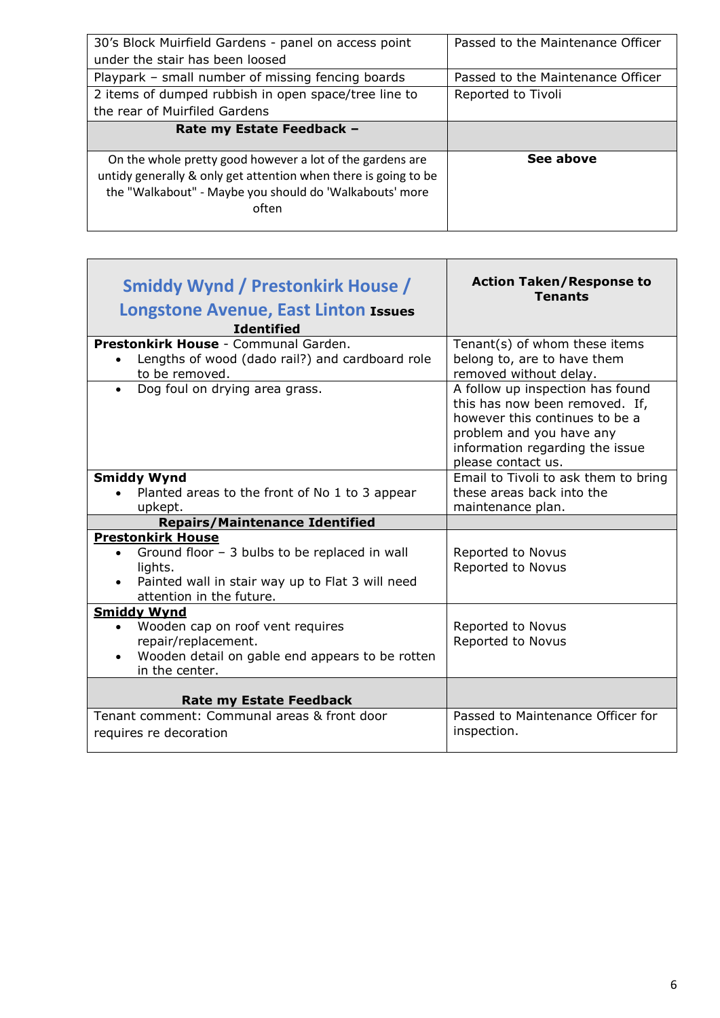| 30's Block Muirfield Gardens - panel on access point<br>under the stair has been loosed | Passed to the Maintenance Officer |
|-----------------------------------------------------------------------------------------|-----------------------------------|
| Playpark – small number of missing fencing boards                                       | Passed to the Maintenance Officer |
| 2 items of dumped rubbish in open space/tree line to                                    | Reported to Tivoli                |
| the rear of Muirfiled Gardens                                                           |                                   |
| Rate my Estate Feedback -                                                               |                                   |
|                                                                                         |                                   |
| On the whole pretty good however a lot of the gardens are                               | See above                         |
| untidy generally & only get attention when there is going to be                         |                                   |
| the "Walkabout" - Maybe you should do 'Walkabouts' more                                 |                                   |
| often                                                                                   |                                   |
|                                                                                         |                                   |

| Smiddy Wynd / Prestonkirk House /<br>Longstone Avenue, East Linton Issues<br><b>Identified</b>                                                                       | <b>Action Taken/Response to</b><br><b>Tenants</b>                                                                                                                                         |
|----------------------------------------------------------------------------------------------------------------------------------------------------------------------|-------------------------------------------------------------------------------------------------------------------------------------------------------------------------------------------|
| Prestonkirk House - Communal Garden.                                                                                                                                 | Tenant(s) of whom these items                                                                                                                                                             |
| Lengths of wood (dado rail?) and cardboard role<br>to be removed.                                                                                                    | belong to, are to have them<br>removed without delay.                                                                                                                                     |
| Dog foul on drying area grass.<br>$\bullet$                                                                                                                          | A follow up inspection has found<br>this has now been removed. If,<br>however this continues to be a<br>problem and you have any<br>information regarding the issue<br>please contact us. |
| <b>Smiddy Wynd</b>                                                                                                                                                   | Email to Tivoli to ask them to bring                                                                                                                                                      |
| Planted areas to the front of No 1 to 3 appear                                                                                                                       | these areas back into the                                                                                                                                                                 |
| upkept.                                                                                                                                                              | maintenance plan.                                                                                                                                                                         |
| <b>Repairs/Maintenance Identified</b>                                                                                                                                |                                                                                                                                                                                           |
| <b>Prestonkirk House</b><br>Ground floor - 3 bulbs to be replaced in wall<br>lights.<br>Painted wall in stair way up to Flat 3 will need<br>attention in the future. | Reported to Novus<br>Reported to Novus                                                                                                                                                    |
| <b>Smiddy Wynd</b>                                                                                                                                                   |                                                                                                                                                                                           |
| Wooden cap on roof vent requires                                                                                                                                     | Reported to Novus                                                                                                                                                                         |
| repair/replacement.<br>Wooden detail on gable end appears to be rotten<br>in the center.                                                                             | Reported to Novus                                                                                                                                                                         |
| <b>Rate my Estate Feedback</b>                                                                                                                                       |                                                                                                                                                                                           |
| Tenant comment: Communal areas & front door<br>requires re decoration                                                                                                | Passed to Maintenance Officer for<br>inspection.                                                                                                                                          |